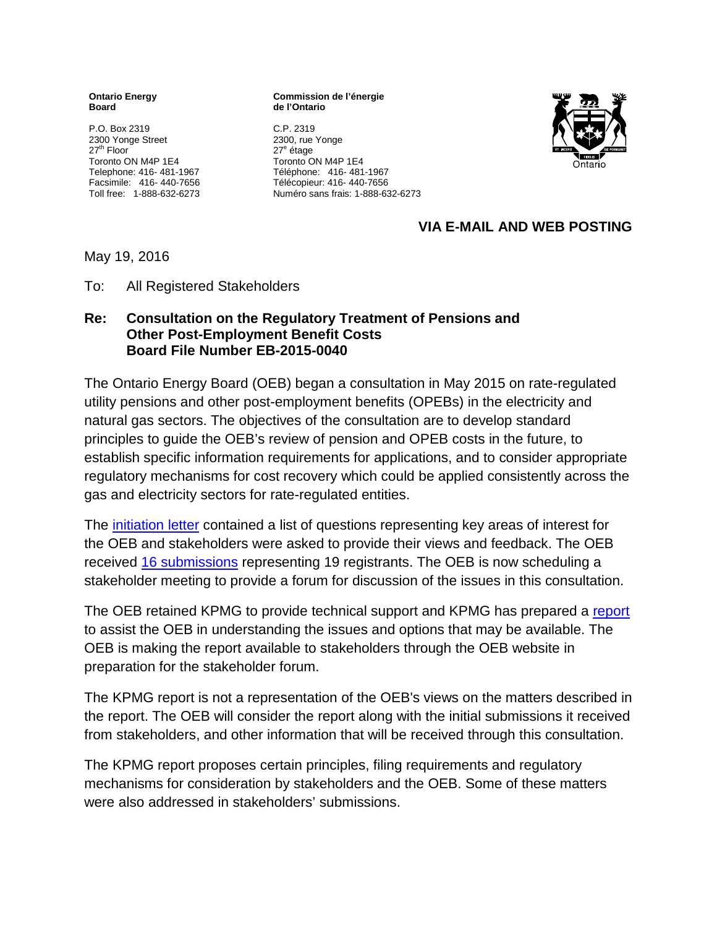**Ontario Energy Board**

P.O. Box 2319 2300 Yonge Street 27<sup>th</sup> Floor Toronto ON M4P 1E4 Telephone: 416- 481-1967 Facsimile: 416- 440-7656 Toll free: 1-888-632-6273 **Commission de l'énergie de l'Ontario**

C.P. 2319 2300, rue Yonge 27<sup>e</sup> étage Toronto ON M4P 1E4 Téléphone: 416- 481-1967 Télécopieur: 416- 440-7656 Numéro sans frais: 1-888-632-6273



## **VIA E-MAIL AND WEB POSTING**

May 19, 2016

To: All Registered Stakeholders

#### **Re: Consultation on the Regulatory Treatment of Pensions and Other Post-Employment Benefit Costs Board File Number EB-2015-0040**

The Ontario Energy Board (OEB) began a consultation in May 2015 on rate-regulated utility pensions and other post-employment benefits (OPEBs) in the electricity and natural gas sectors. The objectives of the consultation are to develop standard principles to guide the OEB's review of pension and OPEB costs in the future, to establish specific information requirements for applications, and to consider appropriate regulatory mechanisms for cost recovery which could be applied consistently across the gas and electricity sectors for rate-regulated entities.

The [initiation letter](http://www.ontarioenergyboard.ca/oeb/_Documents/EB-2015-0040/letter_Pension_OPEB_20150514.pdf) contained a list of questions representing key areas of interest for the OEB and stakeholders were asked to provide their views and feedback. The OEB received [16 submissions](http://www.ontarioenergyboard.ca/OEB/Industry/Regulatory+Proceedings/Policy+Initiatives+and+Consultations/Regulatory+Treatment+-+OPEB+(EB-2015-0040)) representing 19 registrants. The OEB is now scheduling a stakeholder meeting to provide a forum for discussion of the issues in this consultation.

The OEB retained KPMG to provide technical support and KPMG has prepared a [report](http://www.ontarioenergyboard.ca/oeb/_Documents/EB-2015-0040/KPMG_Report_Pension-OPEB_20160415.pdf) to assist the OEB in understanding the issues and options that may be available. The OEB is making the report available to stakeholders through the OEB website in preparation for the stakeholder forum.

The KPMG report is not a representation of the OEB's views on the matters described in the report. The OEB will consider the report along with the initial submissions it received from stakeholders, and other information that will be received through this consultation.

The KPMG report proposes certain principles, filing requirements and regulatory mechanisms for consideration by stakeholders and the OEB. Some of these matters were also addressed in stakeholders' submissions.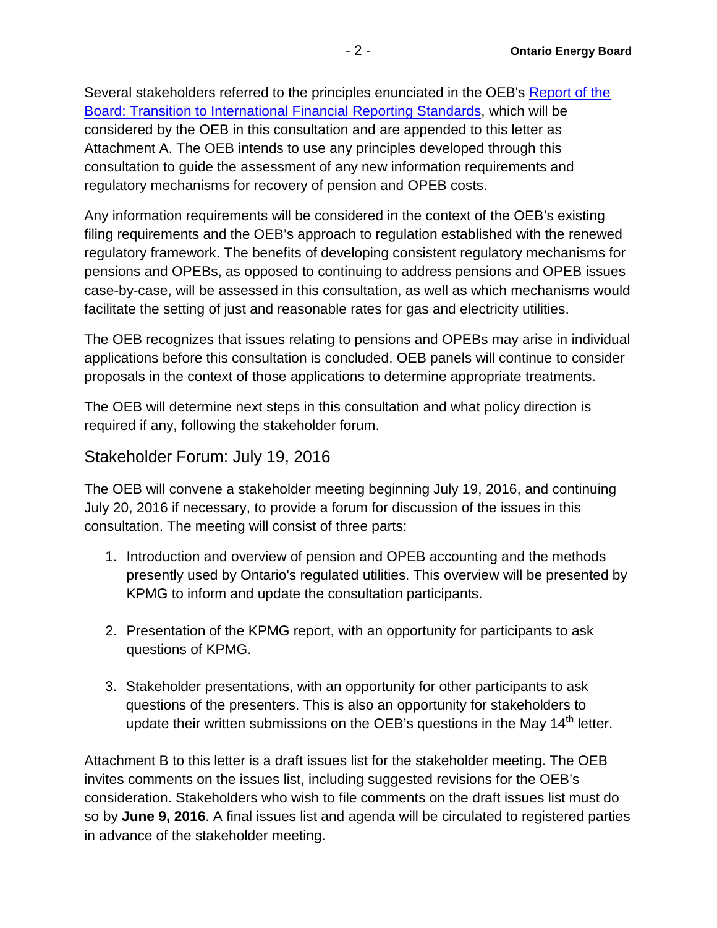Several stakeholders referred to the principles enunciated in the OEB's [Report of the](http://www.ontarioenergyboard.ca/oeb/_Documents/EB-2008-0408/IFRS_Board_Report_20090728.pdf)  [Board: Transition to International Financial Reporting Standards,](http://www.ontarioenergyboard.ca/oeb/_Documents/EB-2008-0408/IFRS_Board_Report_20090728.pdf) which will be considered by the OEB in this consultation and are appended to this letter as Attachment A. The OEB intends to use any principles developed through this consultation to guide the assessment of any new information requirements and regulatory mechanisms for recovery of pension and OPEB costs.

Any information requirements will be considered in the context of the OEB's existing filing requirements and the OEB's approach to regulation established with the renewed regulatory framework. The benefits of developing consistent regulatory mechanisms for pensions and OPEBs, as opposed to continuing to address pensions and OPEB issues case-by-case, will be assessed in this consultation, as well as which mechanisms would facilitate the setting of just and reasonable rates for gas and electricity utilities.

The OEB recognizes that issues relating to pensions and OPEBs may arise in individual applications before this consultation is concluded. OEB panels will continue to consider proposals in the context of those applications to determine appropriate treatments.

The OEB will determine next steps in this consultation and what policy direction is required if any, following the stakeholder forum.

# Stakeholder Forum: July 19, 2016

The OEB will convene a stakeholder meeting beginning July 19, 2016, and continuing July 20, 2016 if necessary, to provide a forum for discussion of the issues in this consultation. The meeting will consist of three parts:

- 1. Introduction and overview of pension and OPEB accounting and the methods presently used by Ontario's regulated utilities. This overview will be presented by KPMG to inform and update the consultation participants.
- 2. Presentation of the KPMG report, with an opportunity for participants to ask questions of KPMG.
- 3. Stakeholder presentations, with an opportunity for other participants to ask questions of the presenters. This is also an opportunity for stakeholders to update their written submissions on the OEB's questions in the May 14<sup>th</sup> letter.

Attachment B to this letter is a draft issues list for the stakeholder meeting. The OEB invites comments on the issues list, including suggested revisions for the OEB's consideration. Stakeholders who wish to file comments on the draft issues list must do so by **June 9, 2016**. A final issues list and agenda will be circulated to registered parties in advance of the stakeholder meeting.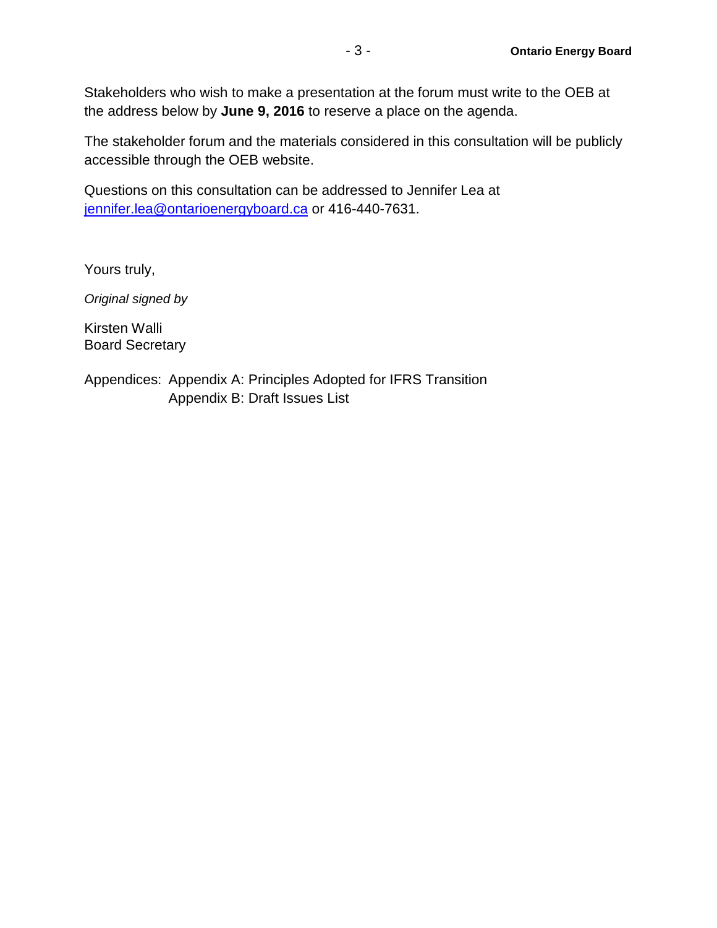Stakeholders who wish to make a presentation at the forum must write to the OEB at the address below by **June 9, 2016** to reserve a place on the agenda.

The stakeholder forum and the materials considered in this consultation will be publicly accessible through the OEB website.

Questions on this consultation can be addressed to Jennifer Lea at [jennifer.lea@ontarioenergyboard.ca](mailto:jennifer.lea@ontarioenergyboard.ca) or 416-440-7631.

Yours truly,

*Original signed by*

Kirsten Walli Board Secretary

Appendices: Appendix A: Principles Adopted for IFRS Transition Appendix B: Draft Issues List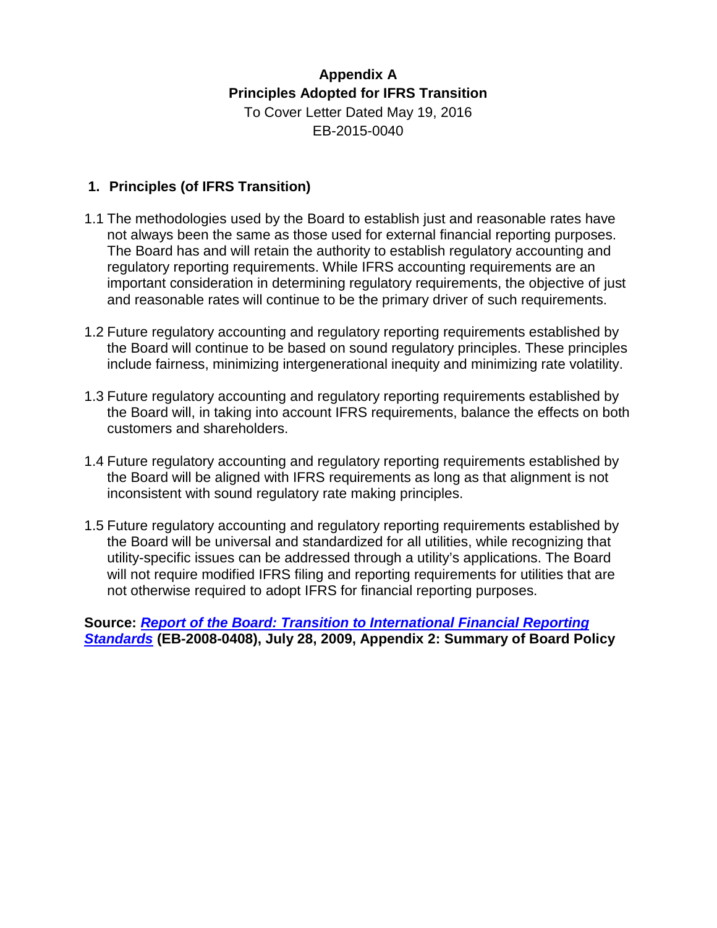## **Appendix A Principles Adopted for IFRS Transition** To Cover Letter Dated May 19, 2016 EB-2015-0040

## **1. Principles (of IFRS Transition)**

- 1.1 The methodologies used by the Board to establish just and reasonable rates have not always been the same as those used for external financial reporting purposes. The Board has and will retain the authority to establish regulatory accounting and regulatory reporting requirements. While IFRS accounting requirements are an important consideration in determining regulatory requirements, the objective of just and reasonable rates will continue to be the primary driver of such requirements.
- 1.2 Future regulatory accounting and regulatory reporting requirements established by the Board will continue to be based on sound regulatory principles. These principles include fairness, minimizing intergenerational inequity and minimizing rate volatility.
- 1.3 Future regulatory accounting and regulatory reporting requirements established by the Board will, in taking into account IFRS requirements, balance the effects on both customers and shareholders.
- 1.4 Future regulatory accounting and regulatory reporting requirements established by the Board will be aligned with IFRS requirements as long as that alignment is not inconsistent with sound regulatory rate making principles.
- 1.5 Future regulatory accounting and regulatory reporting requirements established by the Board will be universal and standardized for all utilities, while recognizing that utility-specific issues can be addressed through a utility's applications. The Board will not require modified IFRS filing and reporting requirements for utilities that are not otherwise required to adopt IFRS for financial reporting purposes.

**Source:** *[Report of the Board: Transition to International Financial Reporting](https://www.google.com/url?q=http://www.ontarioenergyboard.ca/oeb/_Documents/EB-2008-0408/IFRS_Board_Report_20090728.pdf&sa=U&ved=0ahUKEwjopuSRmcPMAhXDLsAKHcS8Bl8QFggHMAE&client=internal-uds-cse&usg=AFQjCNH8rg1AZDfoByQepMj4D5-hdsS49Q)  [Standards](https://www.google.com/url?q=http://www.ontarioenergyboard.ca/oeb/_Documents/EB-2008-0408/IFRS_Board_Report_20090728.pdf&sa=U&ved=0ahUKEwjopuSRmcPMAhXDLsAKHcS8Bl8QFggHMAE&client=internal-uds-cse&usg=AFQjCNH8rg1AZDfoByQepMj4D5-hdsS49Q)* **(EB-2008-0408), July 28, 2009, Appendix 2: Summary of Board Policy**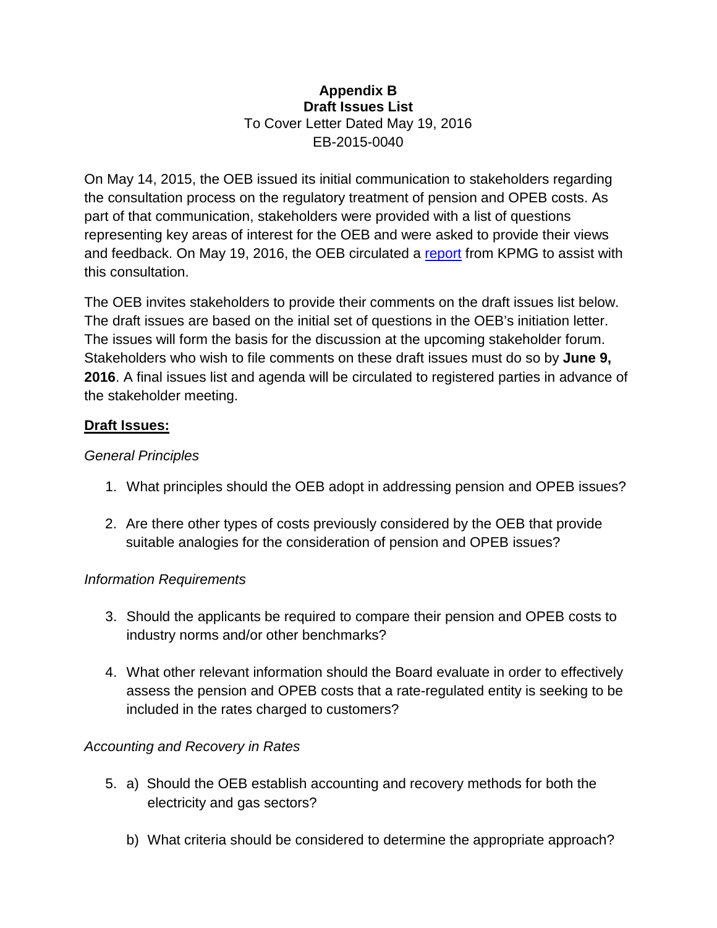#### **Appendix B Draft Issues List** To Cover Letter Dated May 19, 2016 EB-2015-0040

On May 14, 2015, the OEB issued its initial communication to stakeholders regarding the consultation process on the regulatory treatment of pension and OPEB costs. As part of that communication, stakeholders were provided with a list of questions representing key areas of interest for the OEB and were asked to provide their views and feedback. On May 19, 2016, the OEB circulated a [report](http://www.ontarioenergyboard.ca/oeb/_Documents/EB-2015-0040/KPMG_Report_Pension-OPEB_20160415.pdf) from KPMG to assist with this consultation.

The OEB invites stakeholders to provide their comments on the draft issues list below. The draft issues are based on the initial set of questions in the OEB's initiation letter. The issues will form the basis for the discussion at the upcoming stakeholder forum. Stakeholders who wish to file comments on these draft issues must do so by **June 9, 2016**. A final issues list and agenda will be circulated to registered parties in advance of the stakeholder meeting.

## **Draft Issues:**

#### *General Principles*

- 1. What principles should the OEB adopt in addressing pension and OPEB issues?
- 2. Are there other types of costs previously considered by the OEB that provide suitable analogies for the consideration of pension and OPEB issues?

## *Information Requirements*

- 3. Should the applicants be required to compare their pension and OPEB costs to industry norms and/or other benchmarks?
- 4. What other relevant information should the Board evaluate in order to effectively assess the pension and OPEB costs that a rate-regulated entity is seeking to be included in the rates charged to customers?

## *Accounting and Recovery in Rates*

- 5. a) Should the OEB establish accounting and recovery methods for both the electricity and gas sectors?
	- b) What criteria should be considered to determine the appropriate approach?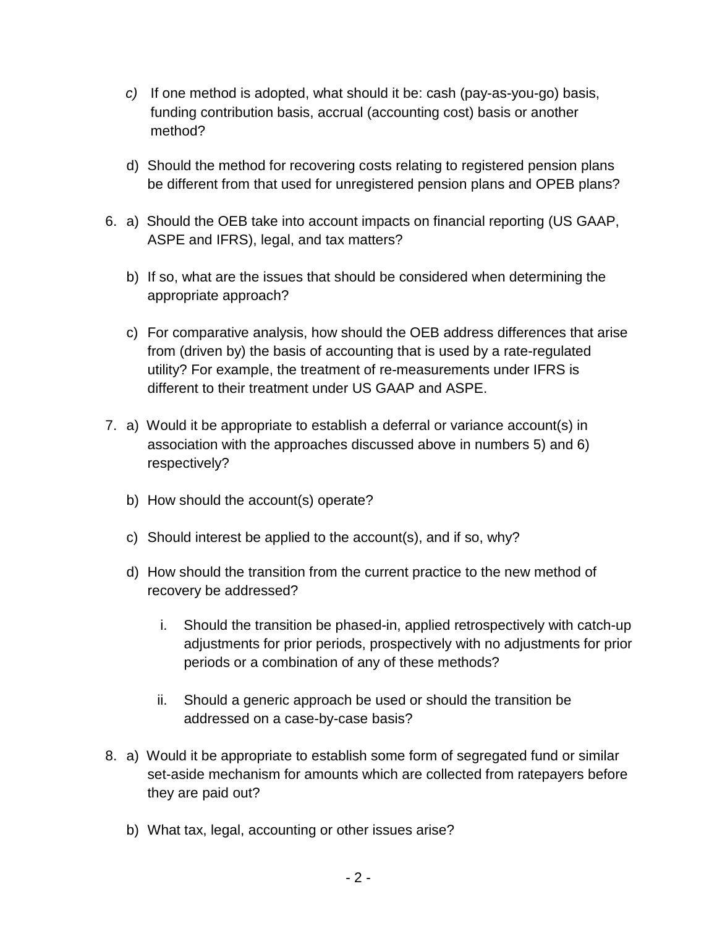- *c)* If one method is adopted, what should it be: cash (pay-as-you-go) basis, funding contribution basis, accrual (accounting cost) basis or another method?
- d) Should the method for recovering costs relating to registered pension plans be different from that used for unregistered pension plans and OPEB plans?
- 6. a) Should the OEB take into account impacts on financial reporting (US GAAP, ASPE and IFRS), legal, and tax matters?
	- b) If so, what are the issues that should be considered when determining the appropriate approach?
	- c) For comparative analysis, how should the OEB address differences that arise from (driven by) the basis of accounting that is used by a rate-regulated utility? For example, the treatment of re-measurements under IFRS is different to their treatment under US GAAP and ASPE.
- 7. a) Would it be appropriate to establish a deferral or variance account(s) in association with the approaches discussed above in numbers 5) and 6) respectively?
	- b) How should the account(s) operate?
	- c) Should interest be applied to the account(s), and if so, why?
	- d) How should the transition from the current practice to the new method of recovery be addressed?
		- i. Should the transition be phased-in, applied retrospectively with catch-up adjustments for prior periods, prospectively with no adjustments for prior periods or a combination of any of these methods?
		- ii. Should a generic approach be used or should the transition be addressed on a case-by-case basis?
- 8. a) Would it be appropriate to establish some form of segregated fund or similar set-aside mechanism for amounts which are collected from ratepayers before they are paid out?
	- b) What tax, legal, accounting or other issues arise?